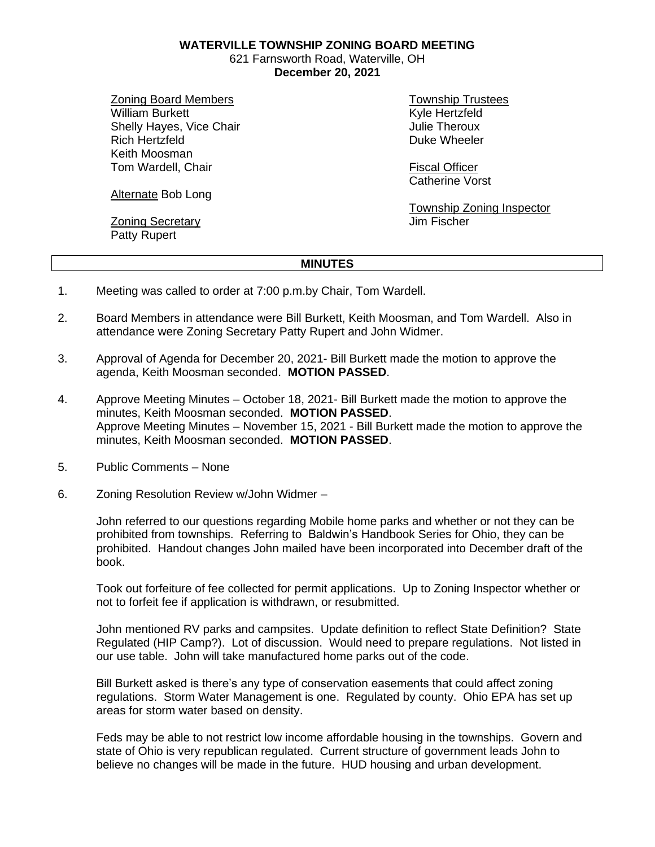**WATERVILLE TOWNSHIP ZONING BOARD MEETING**

621 Farnsworth Road, Waterville, OH **December 20, 2021**

Zoning Board Members William Burkett Shelly Hayes, Vice Chair Rich Hertzfeld Keith Moosman Tom Wardell, Chair

Alternate Bob Long

**Zoning Secretary** Patty Rupert

Township Trustees Kyle Hertzfeld Julie Theroux Duke Wheeler

Fiscal Officer Catherine Vorst

Township Zoning Inspector Jim Fischer

## **MINUTES**

- 1. Meeting was called to order at 7:00 p.m.by Chair, Tom Wardell.
- 2. Board Members in attendance were Bill Burkett, Keith Moosman, and Tom Wardell. Also in attendance were Zoning Secretary Patty Rupert and John Widmer.
- 3. Approval of Agenda for December 20, 2021- Bill Burkett made the motion to approve the agenda, Keith Moosman seconded. **MOTION PASSED**.
- 4. Approve Meeting Minutes October 18, 2021- Bill Burkett made the motion to approve the minutes, Keith Moosman seconded. **MOTION PASSED**. Approve Meeting Minutes – November 15, 2021 - Bill Burkett made the motion to approve the minutes, Keith Moosman seconded. **MOTION PASSED**.
- 5. Public Comments None
- 6. Zoning Resolution Review w/John Widmer –

John referred to our questions regarding Mobile home parks and whether or not they can be prohibited from townships. Referring to Baldwin's Handbook Series for Ohio, they can be prohibited. Handout changes John mailed have been incorporated into December draft of the book.

Took out forfeiture of fee collected for permit applications. Up to Zoning Inspector whether or not to forfeit fee if application is withdrawn, or resubmitted.

John mentioned RV parks and campsites. Update definition to reflect State Definition? State Regulated (HIP Camp?). Lot of discussion. Would need to prepare regulations. Not listed in our use table. John will take manufactured home parks out of the code.

Bill Burkett asked is there's any type of conservation easements that could affect zoning regulations. Storm Water Management is one. Regulated by county. Ohio EPA has set up areas for storm water based on density.

Feds may be able to not restrict low income affordable housing in the townships. Govern and state of Ohio is very republican regulated. Current structure of government leads John to believe no changes will be made in the future. HUD housing and urban development.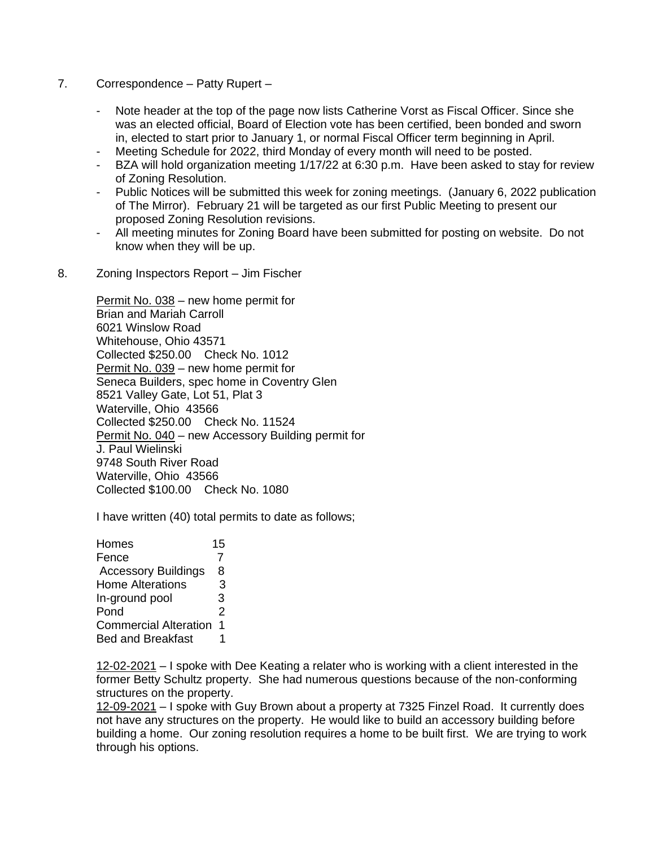- 7. Correspondence Patty Rupert
	- Note header at the top of the page now lists Catherine Vorst as Fiscal Officer. Since she was an elected official, Board of Election vote has been certified, been bonded and sworn in, elected to start prior to January 1, or normal Fiscal Officer term beginning in April.
	- Meeting Schedule for 2022, third Monday of every month will need to be posted.
	- BZA will hold organization meeting 1/17/22 at 6:30 p.m. Have been asked to stay for review of Zoning Resolution.
	- Public Notices will be submitted this week for zoning meetings. (January 6, 2022 publication of The Mirror). February 21 will be targeted as our first Public Meeting to present our proposed Zoning Resolution revisions.
	- All meeting minutes for Zoning Board have been submitted for posting on website. Do not know when they will be up.
- 8. Zoning Inspectors Report Jim Fischer

Permit No. 038 – new home permit for Brian and Mariah Carroll 6021 Winslow Road Whitehouse, Ohio 43571 Collected \$250.00 Check No. 1012 Permit No. 039 – new home permit for Seneca Builders, spec home in Coventry Glen 8521 Valley Gate, Lot 51, Plat 3 Waterville, Ohio 43566 Collected \$250.00 Check No. 11524 Permit No. 040 – new Accessory Building permit for J. Paul Wielinski 9748 South River Road Waterville, Ohio 43566 Collected \$100.00 Check No. 1080

I have written (40) total permits to date as follows;

Homes 15 Fence 7 Accessory Buildings 8 Home Alterations 3 In-ground pool 3 Pond 2 Commercial Alteration 1 Bed and Breakfast 1

12-02-2021 – I spoke with Dee Keating a relater who is working with a client interested in the former Betty Schultz property. She had numerous questions because of the non-conforming structures on the property.

12-09-2021 – I spoke with Guy Brown about a property at 7325 Finzel Road. It currently does not have any structures on the property. He would like to build an accessory building before building a home. Our zoning resolution requires a home to be built first. We are trying to work through his options.